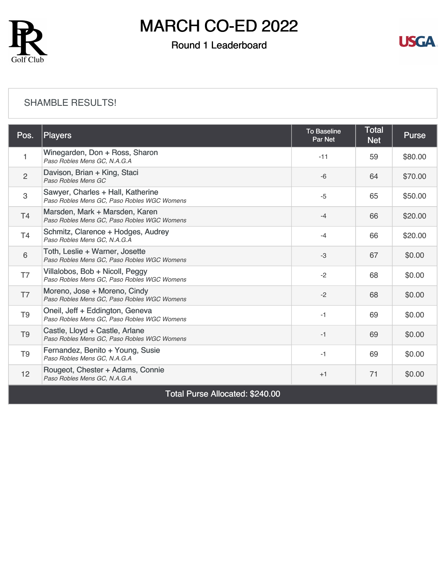

# MARCH CO-ED 2022

### Round 1 Leaderboard



#### [SHAMBLE RESULTS!](https://cdn2.golfgenius.com/v2tournaments/8308853975696850903?called_from=&round_index=1)

| Pos.                            | Players                                                                          | <b>To Baseline</b><br>Par Net | <b>Total</b><br><b>Net</b> | <b>Purse</b> |  |  |  |
|---------------------------------|----------------------------------------------------------------------------------|-------------------------------|----------------------------|--------------|--|--|--|
| $\mathbf{1}$                    | Winegarden, Don + Ross, Sharon<br>Paso Robles Mens GC, N.A.G.A                   | $-11$                         | 59                         | \$80.00      |  |  |  |
| $\overline{2}$                  | Davison, Brian + King, Staci<br>Paso Robles Mens GC                              | $-6$                          | 64                         | \$70.00      |  |  |  |
| 3                               | Sawyer, Charles + Hall, Katherine<br>Paso Robles Mens GC, Paso Robles WGC Womens | $-5$                          | 65                         | \$50.00      |  |  |  |
| T4                              | Marsden, Mark + Marsden, Karen<br>Paso Robles Mens GC, Paso Robles WGC Womens    | $-4$                          | 66                         | \$20.00      |  |  |  |
| T <sub>4</sub>                  | Schmitz, Clarence + Hodges, Audrey<br>Paso Robles Mens GC, N.A.G.A               | $-4$                          | 66                         | \$20.00      |  |  |  |
| 6                               | Toth, Leslie + Warner, Josette<br>Paso Robles Mens GC, Paso Robles WGC Womens    | $-3$                          | 67                         | \$0.00       |  |  |  |
| T7                              | Villalobos, Bob + Nicoll, Peggy<br>Paso Robles Mens GC, Paso Robles WGC Womens   | $-2$                          | 68                         | \$0.00       |  |  |  |
| T7                              | Moreno, Jose + Moreno, Cindy<br>Paso Robles Mens GC, Paso Robles WGC Womens      | $-2$                          | 68                         | \$0.00       |  |  |  |
| T <sub>9</sub>                  | Oneil, Jeff + Eddington, Geneva<br>Paso Robles Mens GC, Paso Robles WGC Womens   | $-1$                          | 69                         | \$0.00       |  |  |  |
| T <sub>9</sub>                  | Castle, Lloyd + Castle, Arlane<br>Paso Robles Mens GC, Paso Robles WGC Womens    | $-1$                          | 69                         | \$0.00       |  |  |  |
| T <sub>9</sub>                  | Fernandez, Benito + Young, Susie<br>Paso Robles Mens GC, N.A.G.A                 | $-1$                          | 69                         | \$0.00       |  |  |  |
| 12                              | Rougeot, Chester + Adams, Connie<br>Paso Robles Mens GC, N.A.G.A                 | $+1$                          | 71                         | \$0.00       |  |  |  |
| Total Purse Allocated: \$240.00 |                                                                                  |                               |                            |              |  |  |  |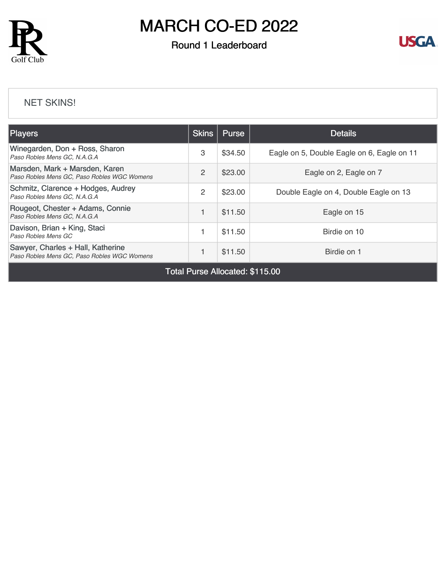

# MARCH CO-ED 2022

### Round 1 Leaderboard



#### [NET SKINS!](https://cdn2.golfgenius.com/v2tournaments/8311316891138310128?called_from=&round_index=1)

| <b>Players</b>                                                                   | <b>Skins</b>   | <b>Purse</b> | <b>Details</b>                             |
|----------------------------------------------------------------------------------|----------------|--------------|--------------------------------------------|
| Winegarden, Don + Ross, Sharon<br>Paso Robles Mens GC, N.A.G.A                   | 3              | \$34.50      | Eagle on 5, Double Eagle on 6, Eagle on 11 |
| Marsden, Mark + Marsden, Karen<br>Paso Robles Mens GC, Paso Robles WGC Womens    | $\mathfrak{p}$ | \$23.00      | Eagle on 2, Eagle on 7                     |
| Schmitz, Clarence + Hodges, Audrey<br>Paso Robles Mens GC, N.A.G.A               | 2              | \$23.00      | Double Eagle on 4, Double Eagle on 13      |
| Rougeot, Chester + Adams, Connie<br>Paso Robles Mens GC, N.A.G.A                 |                | \$11.50      | Eagle on 15                                |
| Davison, Brian + King, Staci<br>Paso Robles Mens GC                              |                | \$11.50      | Birdie on 10                               |
| Sawyer, Charles + Hall, Katherine<br>Paso Robles Mens GC, Paso Robles WGC Womens |                | \$11.50      | Birdie on 1                                |

Total Purse Allocated: \$115.00